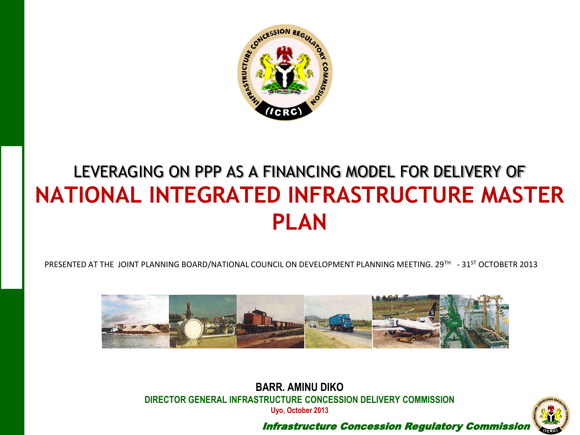

# LEVERAGING ON PPP AS A FINANCING MODEL FOR DELIVERY OF **NATIONAL INTEGRATED INFRASTRUCTURE MASTER PLAN**

PRESENTED AT THE JOINT PLANNING BOARD/NATIONAL COUNCIL ON DEVELOPMENT PLANNING MEETING. 29TH - 31ST OCTOBETR 2013



**BARR. AMINU DIKO DIRECTOR GENERAL INFRASTRUCTURE CONCESSION DELIVERY COMMISSION Uyo, October 2013**



Infrastructure Concession Regulatory Commission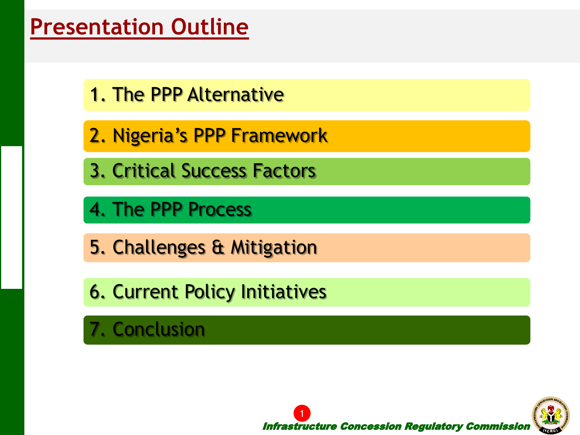# **Presentation Outline**

- 
- 2. Nigeria's PPP Framework
- 3. Critical Success Factors
- 4. The PPP Process
- 5. Challenges & Mitigation
- 6. Current Policy Initiatives
- 7. Conclusion

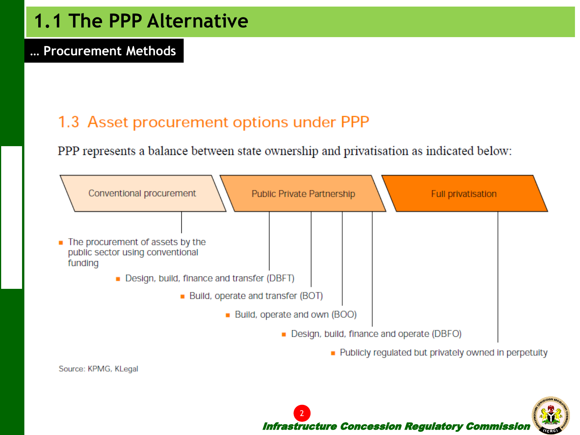

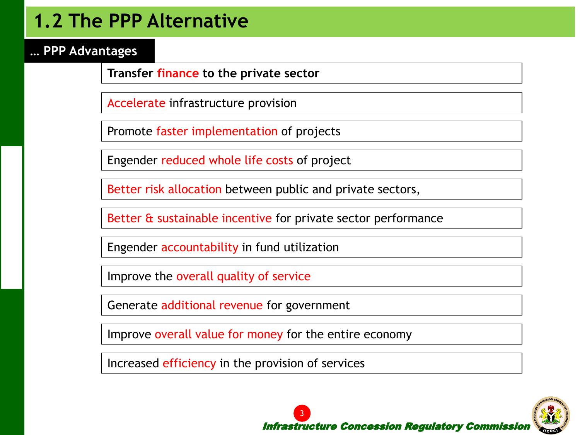## **1.2 The PPP Alternative**

**… PPP Advantages** 

Accelerate infrastructure provision

Promote faster implementation of projects

Engender reduced whole life costs of project

Better risk allocation between public and private sectors,

Better & sustainable incentive for private sector performance

Engender accountability in fund utilization

Improve the overall quality of service

Generate additional revenue for government

Improve overall value for money for the entire economy

Increased efficiency in the provision of services

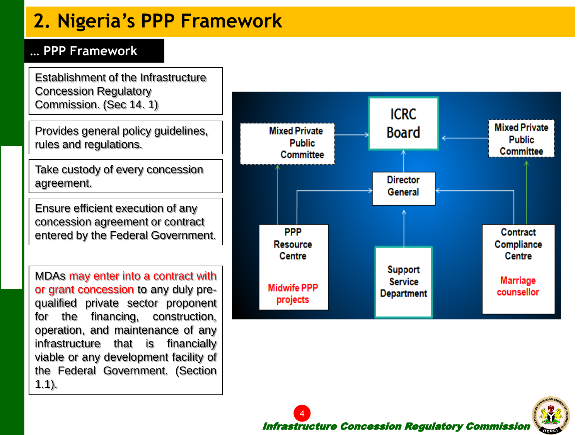# **2. Nigeria's PPP Framework**

#### **… PPP Framework**

Concession Regulatory Commission. (Sec 14. 1)

Provides general policy guidelines, rules and regulations.

Take custody of every concession agreement.

Ensure efficient execution of any concession agreement or contract entered by the Federal Government.

MDAs may enter into a contract with or grant concession to any duly prequalified private sector proponent for the financing, construction, operation, and maintenance of any infrastructure that is financially viable or any development facility of the Federal Government. (Section 1.1).



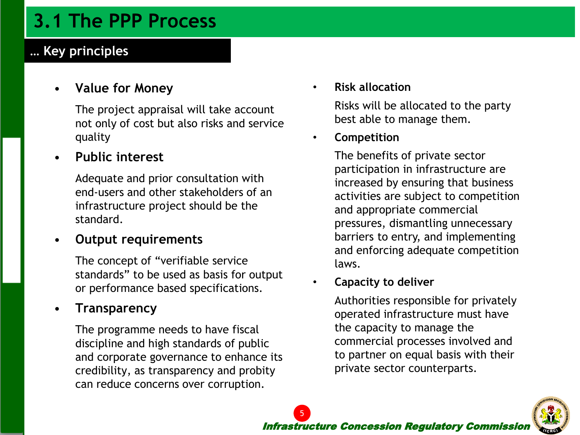## **3.1 The PPP Process**

### **… Key principles**

#### • **Value for Money**

The project appraisal will take account not only of cost but also risks and service quality

#### • **Public interest**

Adequate and prior consultation with end-users and other stakeholders of an infrastructure project should be the standard.

#### • **Output requirements**

The concept of "verifiable service standards" to be used as basis for output or performance based specifications.

#### • **Transparency**

The programme needs to have fiscal discipline and high standards of public and corporate governance to enhance its credibility, as transparency and probity can reduce concerns over corruption.

• **Risk allocation**

Risks will be allocated to the party best able to manage them.

#### • **Competition**

The benefits of private sector participation in infrastructure are increased by ensuring that business activities are subject to competition and appropriate commercial pressures, dismantling unnecessary barriers to entry, and implementing and enforcing adequate competition laws.

#### • **Capacity to deliver**

5

Authorities responsible for privately operated infrastructure must have the capacity to manage the commercial processes involved and to partner on equal basis with their private sector counterparts.

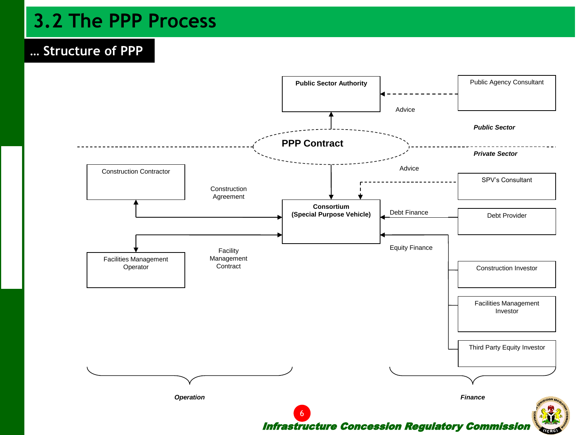## **3.2 The PPP Process**

#### **… Structure of PPP**

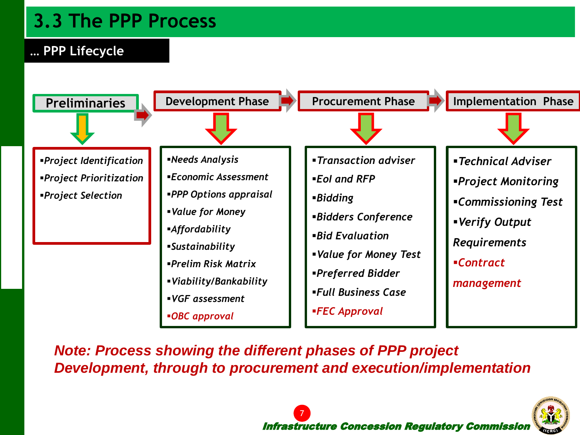## **3.3 The PPP Process**

### **… PPP Lifecycle**



*Note: Process showing the different phases of PPP project Development, through to procurement and execution/implementation*

7

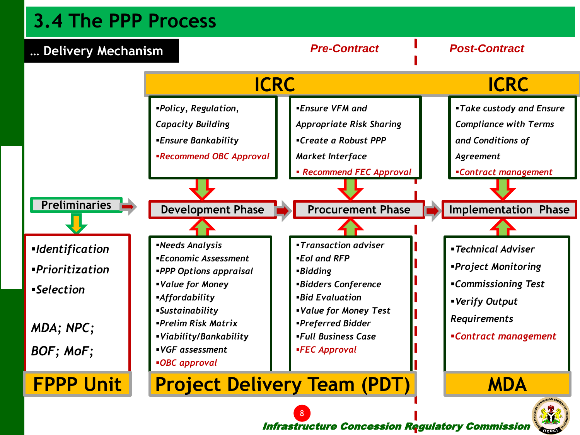## **3.4 The PPP Process**



Infrastructure Concession Regulatory Commission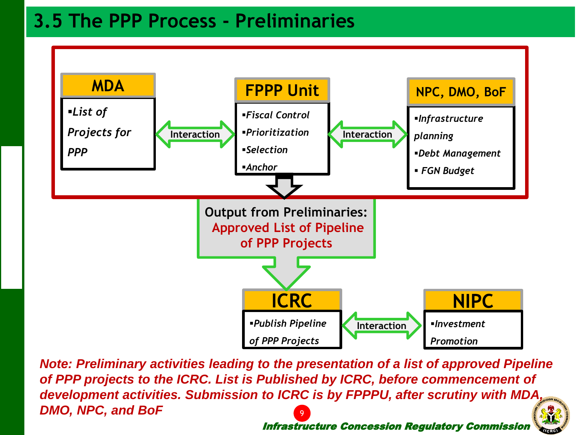## **3.5 The PPP Process - Preliminaries**



Infrastructure Concession Regulatory Commission *Note: Preliminary activities leading to the presentation of a list of approved Pipeline of PPP projects to the ICRC. List is Published by ICRC, before commencement of development activities. Submission to ICRC is by FPPPU, after scrutiny with MDA, DMO, NPC, and BoF* 9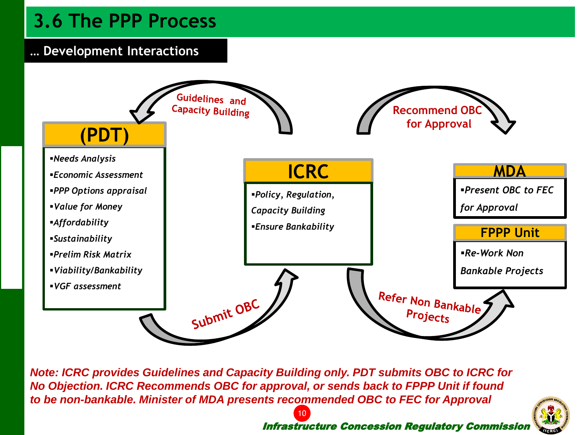## **3.6 The PPP Process**

### **… Development Interactions**



*Note: ICRC provides Guidelines and Capacity Building only. PDT submits OBC to ICRC for No Objection. ICRC Recommends OBC for approval, or sends back to FPPP Unit if found to be non-bankable. Minister of MDA presents recommended OBC to FEC for Approval*

10



#### Infrastructure Concession Regulatory Commission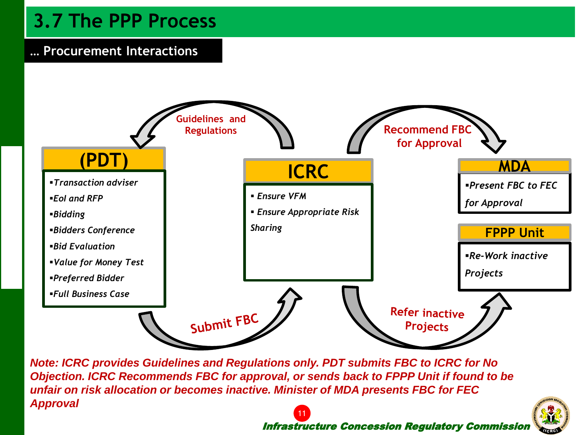## **3.7 The PPP Process**

#### **… Procurement Interactions**



*Note: ICRC provides Guidelines and Regulations only. PDT submits FBC to ICRC for No Objection. ICRC Recommends FBC for approval, or sends back to FPPP Unit if found to be unfair on risk allocation or becomes inactive. Minister of MDA presents FBC for FEC Approval*

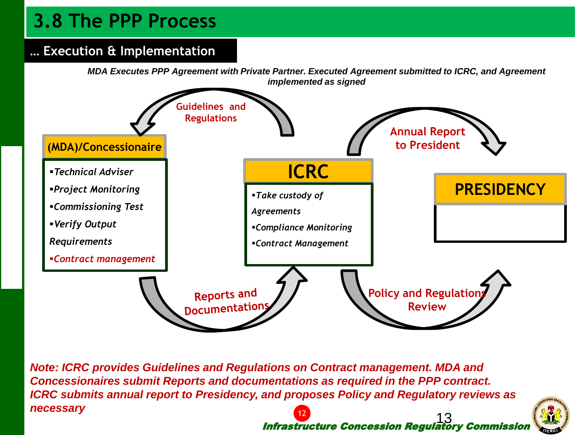## **3.8 The PPP Process**

### **… Execution & Implementation**

*MDA Executes PPP Agreement with Private Partner. Executed Agreement submitted to ICRC, and Agreement implemented as signed*



Infrastructure Concession Regulatory Commission 13 *Note: ICRC provides Guidelines and Regulations on Contract management. MDA and Concessionaires submit Reports and documentations as required in the PPP contract. ICRC submits annual report to Presidency, and proposes Policy and Regulatory reviews as necessary* 12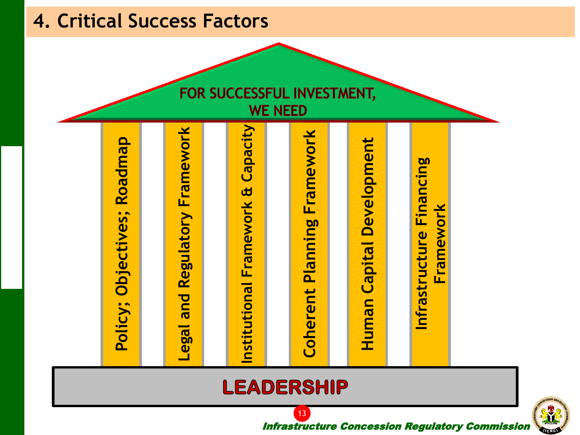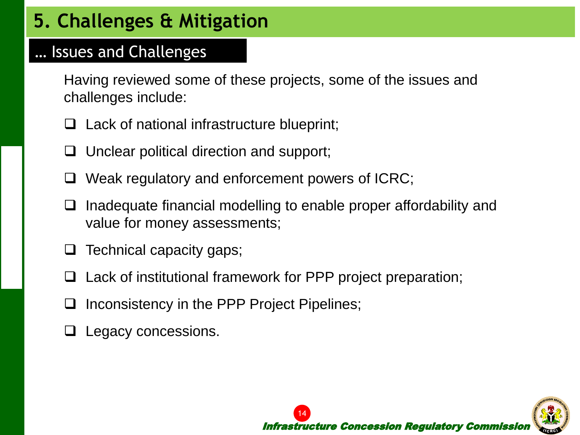# **5. Challenges & Mitigation**

### … Issues and Challenges

Having reviewed some of these projects, some of the issues and challenges include:

- $\Box$  Lack of national infrastructure blueprint;
- $\Box$  Unclear political direction and support;
- $\Box$  Weak regulatory and enforcement powers of ICRC;
- $\Box$  Inadequate financial modelling to enable proper affordability and value for money assessments;
- Technical capacity gaps;
- $\Box$  Lack of institutional framework for PPP project preparation;
- Inconsistency in the PPP Project Pipelines;
- Legacy concessions.

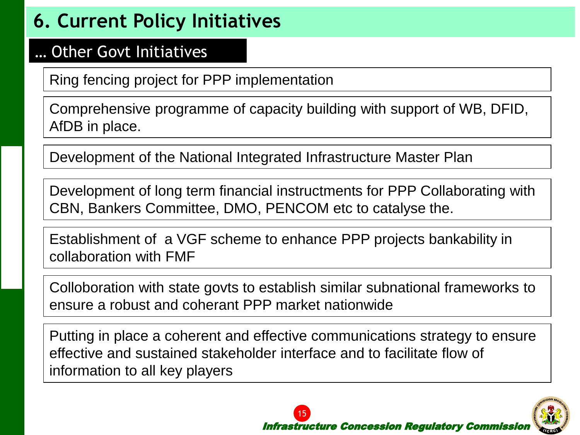# **6. Current Policy Initiatives**

### … Other Govt Initiatives

Comprehensive programme of capacity building with support of WB, DFID, AfDB in place.

Development of the National Integrated Infrastructure Master Plan

Development of long term financial instructments for PPP Collaborating with CBN, Bankers Committee, DMO, PENCOM etc to catalyse the.

Establishment of a VGF scheme to enhance PPP projects bankability in collaboration with FMF

Colloboration with state govts to establish similar subnational frameworks to ensure a robust and coherant PPP market nationwide

Ring fencing project for PPP implementation<br>
Comprehensive programme of capacity building with support of WB, DFID,<br>
AfDB in place.<br>
Development of the National Integrated Infrastructure Master Plan<br>
Development of long te Putting in place a coherent and effective communications strategy to ensure effective and sustained stakeholder interface and to facilitate flow of information to all key players

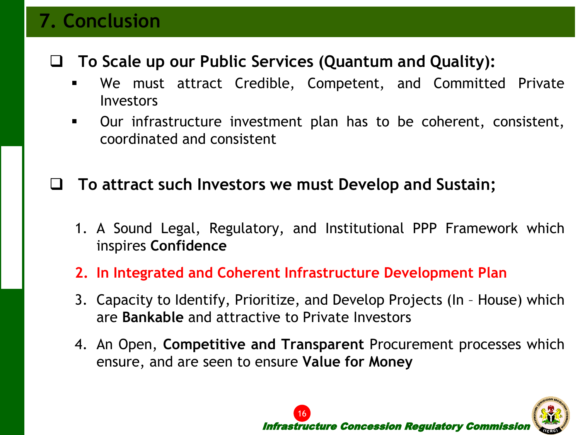## **7. Conclusion**

- Infrastructure Concession Regulatory Commission **To Scale up our Public Services (Quantum and Quality):** We must attract Credible, Competent, and Committed Private Investors
	- Our infrastructure investment plan has to be coherent, consistent, coordinated and consistent

## **To attract such Investors we must Develop and Sustain;**

- 1. A Sound Legal, Regulatory, and Institutional PPP Framework which inspires **Confidence**
- **2. In Integrated and Coherent Infrastructure Development Plan**
- 3. Capacity to Identify, Prioritize, and Develop Projects (In House) which are **Bankable** and attractive to Private Investors
- 4. An Open, **Competitive and Transparent** Procurement processes which ensure, and are seen to ensure **Value for Money**